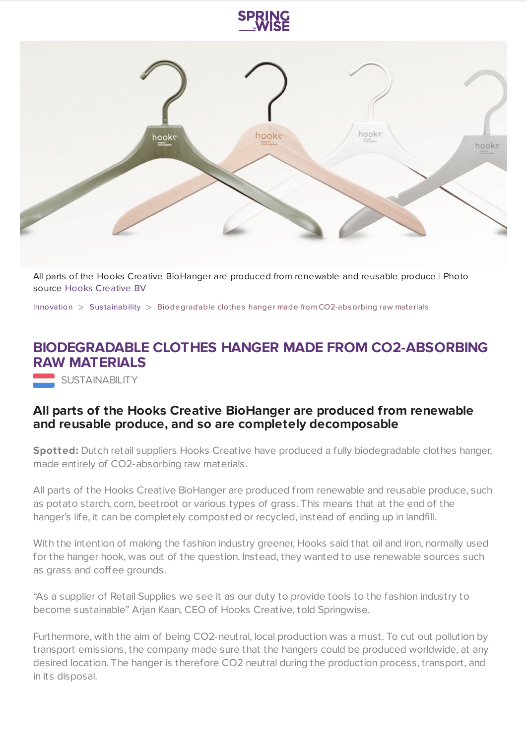



All parts of the Hooks Creative BioHanger are produced from renewable and reusable produce | Photo source Hooks [Creative](https://www.hooks-creative.com/) BV

[Innovation](https://www.springwise.com/search?type=innovation)  $>$  Sus[tainability](https://www.springwise.com/search?type=innovation§or=sustainability)  $>$  Biodegradable clothes hanger made from CO2-absorbing raw materials

## **BIODEGRADABLE CLOTHES HANGER MADE FROM CO2-ABSORBING RAW MATERIALS**

**SUSTAINABILITY** 

## **All parts of the Hooks Creative BioHanger are produced from renewable and reusable produce, and so are completely decomposable**

**Spotted:** Dutch retail suppliers Hooks Creative have produced a fully biodegradable clothes hanger, made entirely of CO2-absorbing raw materials.

All parts of the Hooks Creative BioHanger are produced from renewable and reusable produce, such as potato starch, corn, beetroot or various types of grass. This means that at the end of the hanger's life, it can be completely composted or recycled, instead of ending up in landfill.

With the intention of making the fashion industry greener, Hooks said that oil and iron, normally used for the hanger hook, was out of the question. Instead, they wanted to use renewable sources such as grass and coffee grounds.

"As a supplier of Retail Supplies we see it as our duty to provide tools to the fashion industry to become sustainable" Arjan Kaan, CEO of Hooks Creative, told Springwise.

Furthermore, with the aim of being CO2-neutral, local production was a must. To cut out pollution by transport emissions, the company made sure that the hangers could be produced worldwide, at any desired location. The hanger is therefore CO2 neutral during the production process, transport, and in its disposal.